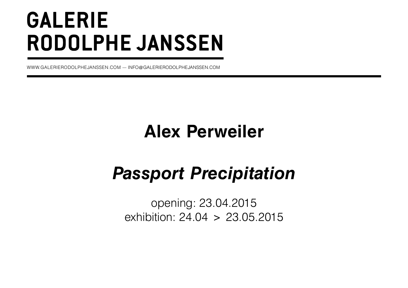# **GALERIE RODOLPHE JANSSEN**

WWW.GALERIERODOLPHEJANSSEN.COM — INFO@GALERIERODOLPHEJANSSEN.COM

## **Alex Perweiler**

## *Passport Precipitation*

opening: 23.04.2015 exhibition: 24.04 > 23.05.2015